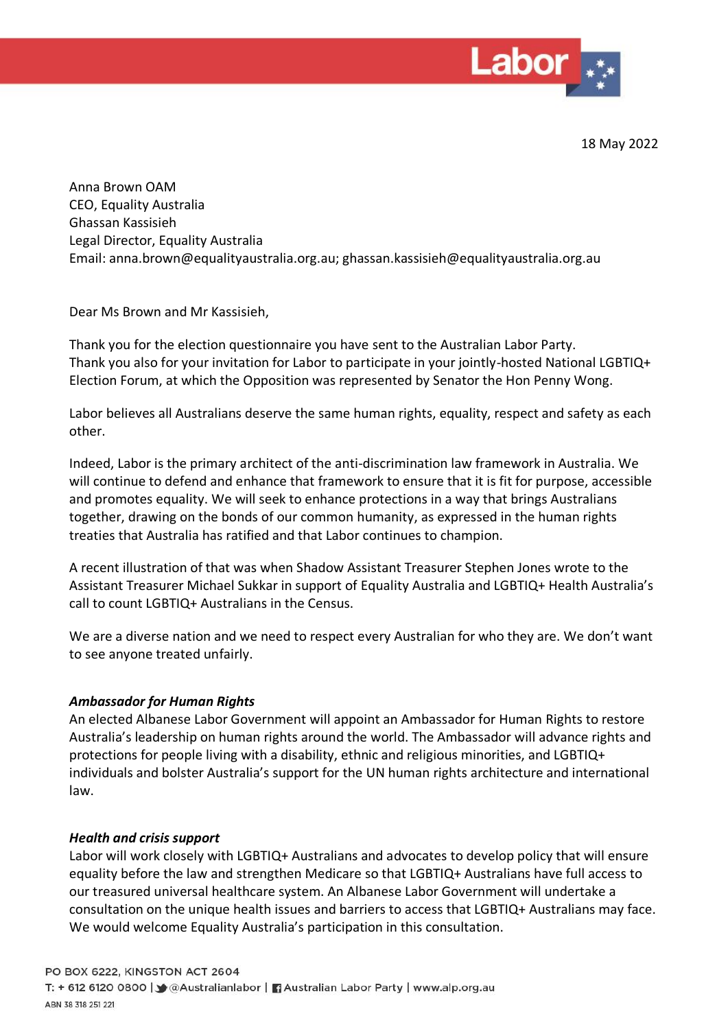

18 May 2022

Anna Brown OAM CEO, Equality Australia Ghassan Kassisieh Legal Director, Equality Australia Email: anna.brown@equalityaustralia.org.au; ghassan.kassisieh@equalityaustralia.org.au

Dear Ms Brown and Mr Kassisieh,

Thank you for the election questionnaire you have sent to the Australian Labor Party. Thank you also for your invitation for Labor to participate in your jointly-hosted National LGBTIQ+ Election Forum, at which the Opposition was represented by Senator the Hon Penny Wong.

Labor believes all Australians deserve the same human rights, equality, respect and safety as each other.

Indeed, Labor is the primary architect of the anti-discrimination law framework in Australia. We will continue to defend and enhance that framework to ensure that it is fit for purpose, accessible and promotes equality. We will seek to enhance protections in a way that brings Australians together, drawing on the bonds of our common humanity, as expressed in the human rights treaties that Australia has ratified and that Labor continues to champion.

A recent illustration of that was when Shadow Assistant Treasurer Stephen Jones wrote to the Assistant Treasurer Michael Sukkar in support of Equality Australia and LGBTIQ+ Health Australia's call to count LGBTIQ+ Australians in the Census.

We are a diverse nation and we need to respect every Australian for who they are. We don't want to see anyone treated unfairly.

### *Ambassador for Human Rights*

An elected Albanese Labor Government will appoint an Ambassador for Human Rights to restore Australia's leadership on human rights around the world. The Ambassador will advance rights and protections for people living with a disability, ethnic and religious minorities, and LGBTIQ+ individuals and bolster Australia's support for the UN human rights architecture and international law.

#### *Health and crisis support*

Labor will work closely with LGBTIQ+ Australians and advocates to develop policy that will ensure equality before the law and strengthen Medicare so that LGBTIQ+ Australians have full access to our treasured universal healthcare system. An Albanese Labor Government will undertake a consultation on the unique health issues and barriers to access that LGBTIQ+ Australians may face. We would welcome Equality Australia's participation in this consultation.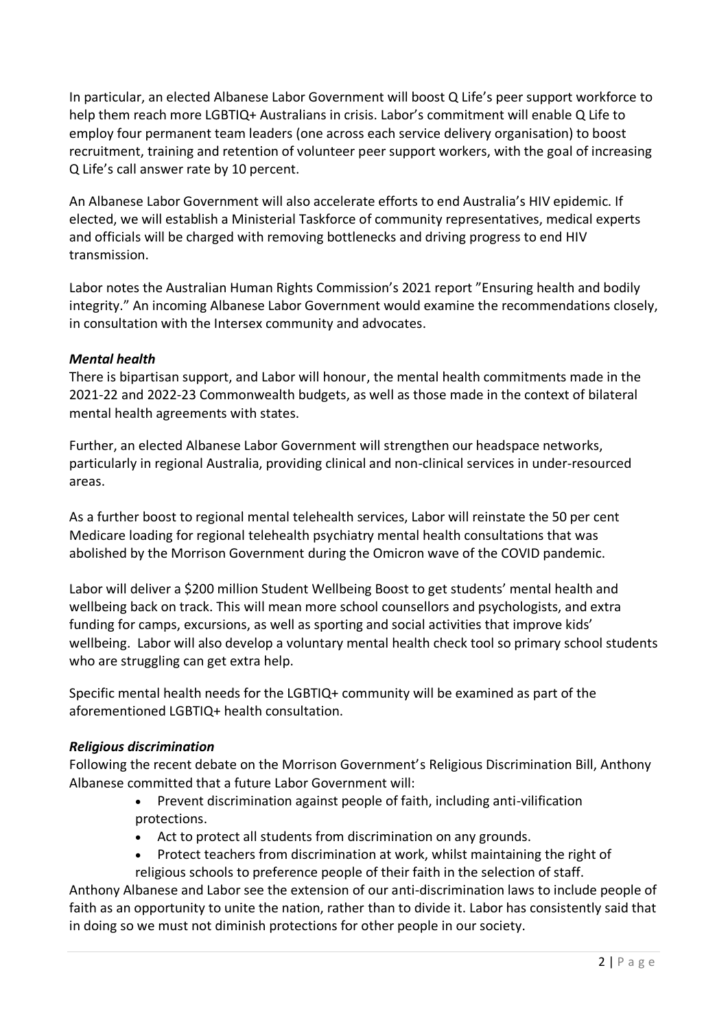In particular, an elected Albanese Labor Government will boost Q Life's peer support workforce to help them reach more LGBTIQ+ Australians in crisis. Labor's commitment will enable Q Life to employ four permanent team leaders (one across each service delivery organisation) to boost recruitment, training and retention of volunteer peer support workers, with the goal of increasing Q Life's call answer rate by 10 percent.

An Albanese Labor Government will also accelerate efforts to end Australia's HIV epidemic. If elected, we will establish a Ministerial Taskforce of community representatives, medical experts and officials will be charged with removing bottlenecks and driving progress to end HIV transmission.

Labor notes the Australian Human Rights Commission's 2021 report "Ensuring health and bodily integrity." An incoming Albanese Labor Government would examine the recommendations closely, in consultation with the Intersex community and advocates.

## *Mental health*

There is bipartisan support, and Labor will honour, the mental health commitments made in the 2021-22 and 2022-23 Commonwealth budgets, as well as those made in the context of bilateral mental health agreements with states.

Further, an elected Albanese Labor Government will strengthen our headspace networks, particularly in regional Australia, providing clinical and non-clinical services in under-resourced areas.  

As a further boost to regional mental telehealth services, Labor will reinstate the 50 per cent Medicare loading for regional telehealth psychiatry mental health consultations that was abolished by the Morrison Government during the Omicron wave of the COVID pandemic.  

Labor will deliver a \$200 million Student Wellbeing Boost to get students' mental health and wellbeing back on track. This will mean more school counsellors and psychologists, and extra funding for camps, excursions, as well as sporting and social activities that improve kids' wellbeing.  Labor will also develop a voluntary mental health check tool so primary school students who are struggling can get extra help.   

Specific mental health needs for the LGBTIQ+ community will be examined as part of the aforementioned LGBTIQ+ health consultation.

# *Religious discrimination*

Following the recent debate on the Morrison Government's Religious Discrimination Bill, Anthony Albanese committed that a future Labor Government will:

- Prevent discrimination against people of faith, including anti-vilification protections.
- Act to protect all students from discrimination on any grounds.
- Protect teachers from discrimination at work, whilst maintaining the right of religious schools to preference people of their faith in the selection of staff.

Anthony Albanese and Labor see the extension of our anti-discrimination laws to include people of faith as an opportunity to unite the nation, rather than to divide it. Labor has consistently said that in doing so we must not diminish protections for other people in our society.